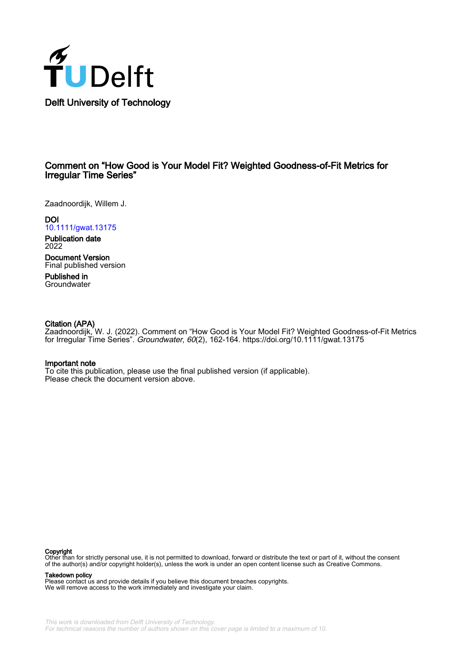

# Comment on "How Good is Your Model Fit? Weighted Goodness-of-Fit Metrics for Irregular Time Series"

Zaadnoordijk, Willem J.

**DOI** [10.1111/gwat.13175](https://doi.org/10.1111/gwat.13175)

Publication date 2022

Document Version Final published version

Published in Groundwater

#### Citation (APA)

Zaadnoordijk, W. J. (2022). Comment on "How Good is Your Model Fit? Weighted Goodness-of-Fit Metrics for Irregular Time Series". Groundwater, 60(2), 162-164.<https://doi.org/10.1111/gwat.13175>

#### Important note

To cite this publication, please use the final published version (if applicable). Please check the document version above.

#### Copyright

Other than for strictly personal use, it is not permitted to download, forward or distribute the text or part of it, without the consent of the author(s) and/or copyright holder(s), unless the work is under an open content license such as Creative Commons.

#### Takedown policy

Please contact us and provide details if you believe this document breaches copyrights. We will remove access to the work immediately and investigate your claim.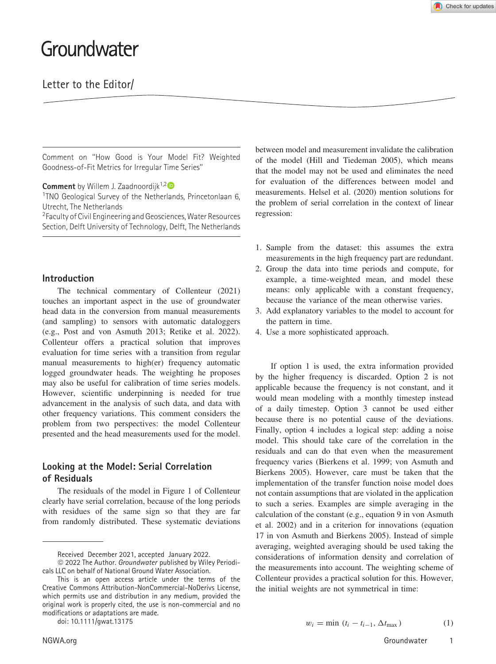# Groundwater

# Letter to the Editor/

Comment on ''How Good is Your Model Fit? Weighted Goodness-of-Fit Metrics for Irregular Time Series''

**Comment** by Willem J. Zaadnoordijk<sup>1,[2](https://orcid.org/0000-0001-9739-7582)</sup>

<sup>1</sup>TNO Geological Survey of the Netherlands, Princetonlaan 6, Utrecht, The Netherlands

2Faculty of Civil Engineering and Geosciences, Water Resources Section, Delft University of Technology, Delft, The Netherlands

#### **Introduction**

The technical commentary of Collenteur (2021) touches an important aspect in the use of groundwater head data in the conversion from manual measurements (and sampling) to sensors with automatic dataloggers (e.g., Post and von Asmuth 2013; Retike et al. 2022). Collenteur offers a practical solution that improves evaluation for time series with a transition from regular manual measurements to high(er) frequency automatic logged groundwater heads. The weighting he proposes may also be useful for calibration of time series models. However, scientific underpinning is needed for true advancement in the analysis of such data, and data with other frequency variations. This comment considers the problem from two perspectives: the model Collenteur presented and the head measurements used for the model.

## **Looking at the Model: Serial Correlation of Residuals**

The residuals of the model in Figure 1 of Collenteur clearly have serial correlation, because of the long periods with residues of the same sign so that they are far from randomly distributed. These systematic deviations

doi: 10.1111/gwat.13175

between model and measurement invalidate the calibration of the model (Hill and Tiedeman 2005), which means that the model may not be used and eliminates the need for evaluation of the differences between model and measurements. Helsel et al. (2020) mention solutions for the problem of serial correlation in the context of linear regression:

- 1. Sample from the dataset: this assumes the extra measurements in the high frequency part are redundant.
- 2. Group the data into time periods and compute, for example, a time-weighted mean, and model these means: only applicable with a constant frequency, because the variance of the mean otherwise varies.
- 3. Add explanatory variables to the model to account for the pattern in time.
- 4. Use a more sophisticated approach.

If option 1 is used, the extra information provided by the higher frequency is discarded. Option 2 is not applicable because the frequency is not constant, and it would mean modeling with a monthly timestep instead of a daily timestep. Option 3 cannot be used either because there is no potential cause of the deviations. Finally, option 4 includes a logical step: adding a noise model. This should take care of the correlation in the residuals and can do that even when the measurement frequency varies (Bierkens et al. 1999; von Asmuth and Bierkens 2005). However, care must be taken that the implementation of the transfer function noise model does not contain assumptions that are violated in the application to such a series. Examples are simple averaging in the calculation of the constant (e.g., equation 9 in von Asmuth et al. 2002) and in a criterion for innovations (equation 17 in von Asmuth and Bierkens 2005). Instead of simple averaging, weighted averaging should be used taking the considerations of information density and correlation of the measurements into account. The weighting scheme of Collenteur provides a practical solution for this. However, the initial weights are not symmetrical in time:

Received December 2021, accepted January 2022.

<sup>©</sup> 2022 The Author. *Groundwater* published by Wiley Periodicals LLC on behalf of National Ground Water Association.

This is an open access article under the terms of the Creative Commons Attribution-NonCommercial-NoDerivs License, which permits use and distribution in any medium, provided the original work is properly cited, the use is non-commercial and no modifications or adaptations are made.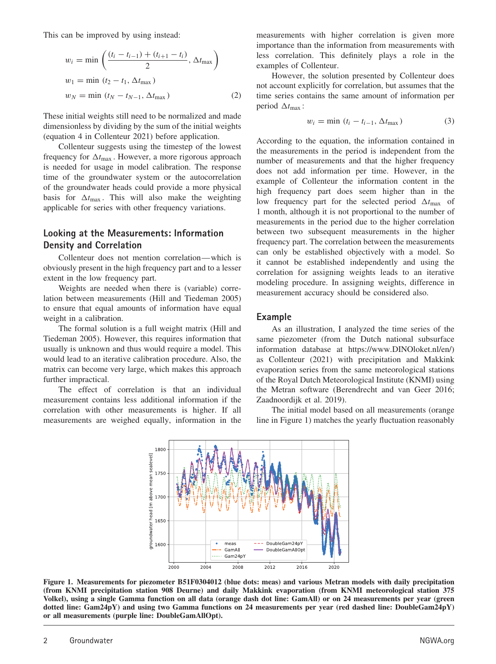This can be improved by using instead:

$$
w_i = \min\left(\frac{(t_i - t_{i-1}) + (t_{i+1} - t_i)}{2}, \Delta t_{\max}\right)
$$
  
\n
$$
w_1 = \min(t_2 - t_1, \Delta t_{\max})
$$
  
\n
$$
w_N = \min(t_N - t_{N-1}, \Delta t_{\max})
$$
 (2)

These initial weights still need to be normalized and made dimensionless by dividing by the sum of the initial weights (equation 4 in Collenteur 2021) before application.

Collenteur suggests using the timestep of the lowest frequency for  $\Delta t_{\text{max}}$ . However, a more rigorous approach is needed for usage in model calibration. The response time of the groundwater system or the autocorrelation of the groundwater heads could provide a more physical basis for  $\Delta t_{\text{max}}$ . This will also make the weighting applicable for series with other frequency variations.

## **Looking at the Measurements: Information Density and Correlation**

Collenteur does not mention correlation—which is obviously present in the high frequency part and to a lesser extent in the low frequency part.

Weights are needed when there is (variable) correlation between measurements (Hill and Tiedeman 2005) to ensure that equal amounts of information have equal weight in a calibration.

The formal solution is a full weight matrix (Hill and Tiedeman 2005). However, this requires information that usually is unknown and thus would require a model. This would lead to an iterative calibration procedure. Also, the matrix can become very large, which makes this approach further impractical.

The effect of correlation is that an individual measurement contains less additional information if the correlation with other measurements is higher. If all measurements are weighed equally, information in the measurements with higher correlation is given more importance than the information from measurements with less correlation. This definitely plays a role in the examples of Collenteur.

However, the solution presented by Collenteur does not account explicitly for correlation, but assumes that the time series contains the same amount of information per period  $\Delta t_{\text{max}}$ :

$$
w_i = \min(t_i - t_{i-1}, \Delta t_{\max})
$$
 (3)

According to the equation, the information contained in the measurements in the period is independent from the number of measurements and that the higher frequency does not add information per time. However, in the example of Collenteur the information content in the high frequency part does seem higher than in the low frequency part for the selected period  $\Delta t_{\text{max}}$  of 1 month, although it is not proportional to the number of measurements in the period due to the higher correlation between two subsequent measurements in the higher frequency part. The correlation between the measurements can only be established objectively with a model. So it cannot be established independently and using the correlation for assigning weights leads to an iterative modeling procedure. In assigning weights, difference in measurement accuracy should be considered also.

#### **Example**

As an illustration, I analyzed the time series of the same piezometer (from the Dutch national subsurface information database at [https://www.DINOloket.nl/en/\)](https://www.dinoloket.nl/en/) as Collenteur (2021) with precipitation and Makkink evaporation series from the same meteorological stations of the Royal Dutch Meteorological Institute (KNMI) using the Metran software (Berendrecht and van Geer 2016; Zaadnoordijk et al. 2019).

The initial model based on all measurements (orange line in Figure 1) matches the yearly fluctuation reasonably



**Figure 1. Measurements for piezometer B51F0304012 (blue dots: meas) and various Metran models with daily precipitation (from KNMI precipitation station 908 Deurne) and daily Makkink evaporation (from KNMI meteorological station 375 Volkel), using a single Gamma function on all data (orange dash dot line: GamAll) or on 24 measurements per year (green dotted line: Gam24pY) and using two Gamma functions on 24 measurements per year (red dashed line: DoubleGam24pY) or all measurements (purple line: DoubleGamAllOpt).**